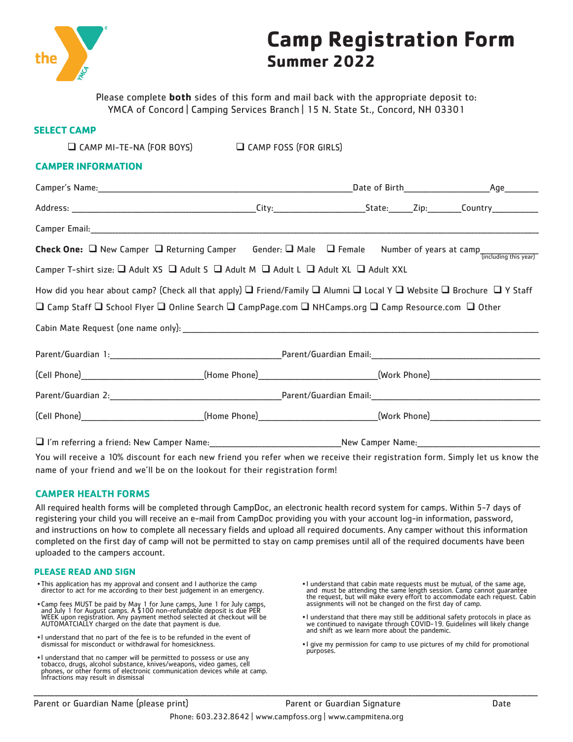

# **Camp Registration Form Summer 2022**

Please complete **both** sides of this form and mail back with the appropriate deposit to: YMCA of Concord | Camping Services Branch | 15 N. State St., Concord, NH 03301

## **SELECT CAMP**

| JELEL I LAMF                                                                                                                                            |  |  |  |
|---------------------------------------------------------------------------------------------------------------------------------------------------------|--|--|--|
| $\Box$ CAMP MI-TE-NA (FOR BOYS) $\Box$ CAMP FOSS (FOR GIRLS)                                                                                            |  |  |  |
| <b>CAMPER INFORMATION</b>                                                                                                                               |  |  |  |
|                                                                                                                                                         |  |  |  |
|                                                                                                                                                         |  |  |  |
|                                                                                                                                                         |  |  |  |
| <b>Check One:</b> $\Box$ New Camper $\Box$ Returning Camper Gender: $\Box$ Male $\Box$ Female Number of years at camp $\frac{1}{(including this year)}$ |  |  |  |
| Camper T-shirt size: $\Box$ Adult XS $\Box$ Adult S $\Box$ Adult M $\Box$ Adult L $\Box$ Adult XL $\Box$ Adult XXL                                      |  |  |  |
| How did you hear about camp? (Check all that apply) $\Box$ Friend/Family $\Box$ Alumni $\Box$ Local Y $\Box$ Website $\Box$ Brochure $\Box$ Y Staff     |  |  |  |
| $\Box$ Camp Staff $\Box$ School Flyer $\Box$ Online Search $\Box$ CampPage.com $\Box$ NHCamps.org $\Box$ Camp Resource.com $\Box$ Other                 |  |  |  |
|                                                                                                                                                         |  |  |  |
|                                                                                                                                                         |  |  |  |
| (Cell Phone)____________________________(Home Phone)___________________________(Work Phone)__________________________                                   |  |  |  |
|                                                                                                                                                         |  |  |  |
|                                                                                                                                                         |  |  |  |
|                                                                                                                                                         |  |  |  |

You will receive a 10% discount for each new friend you refer when we receive their registration form. Simply let us know the name of your friend and we'll be on the lookout for their registration form!

### **CAMPER HEALTH FORMS**

All required health forms will be completed through CampDoc, an electronic health record system for camps. Within 5-7 days of registering your child you will receive an e-mail from CampDoc providing you with your account log-in information, password, and instructions on how to complete all necessary fields and upload all required documents. Any camper without this information completed on the first day of camp will not be permitted to stay on camp premises until all of the required documents have been uploaded to the campers account.

\_\_\_\_\_\_\_\_\_\_\_\_\_\_\_\_\_\_\_\_\_\_\_\_\_\_\_\_\_\_\_\_\_\_\_\_\_\_\_\_\_\_\_\_\_\_\_\_\_\_\_\_\_\_\_\_\_\_\_\_\_\_\_\_\_\_\_\_\_\_\_\_\_\_\_\_\_\_\_\_\_\_\_\_\_\_\_\_\_\_\_\_\_\_\_\_\_\_\_\_\_\_\_\_\_\_\_\_\_\_\_\_\_\_\_\_\_\_\_\_\_\_\_\_\_\_\_\_\_\_\_\_\_\_\_\_\_\_\_\_\_\_\_\_\_\_\_\_

#### **PLEASE READ AND SIGN**

- •This application has my approval and consent and I authorize the camp director to act for me according to their best judgement in an emergency.
- Camp fees MUST be paid by May 1 for June camps, June 1 for July camps, and July 1 for August camps. A \$100 non-refundable deposit is due PER<br>WEEK upon registration. Any payment method selected at checkout will be<br>AUTOMAT
- •I understand that no part of the fee is to be refunded in the event of dismissal for misconduct or withdrawal for homesickness.
- •I understand that no camper will be permitted to possess or use any tobacco, drugs, alcohol substance, knives/weapons, video games, cell phones, or other forms of electronic communication devices while at camp. Infractions may result in dismissal
- •I understand that cabin mate requests must be mutual, of the same age, and must be attending the same length session. Camp cannot guarantee the request, but will make every effort to accommodate each request. Cabin assignments will not be changed on the first day of camp.
- •I understand that there may still be additional safety protocols in place as we continued to navigate through COVID-19. Guidelines will likely change and shift as we learn more about the pandemic.
- •I give my permission for camp to use pictures of my child for promotional purposes.